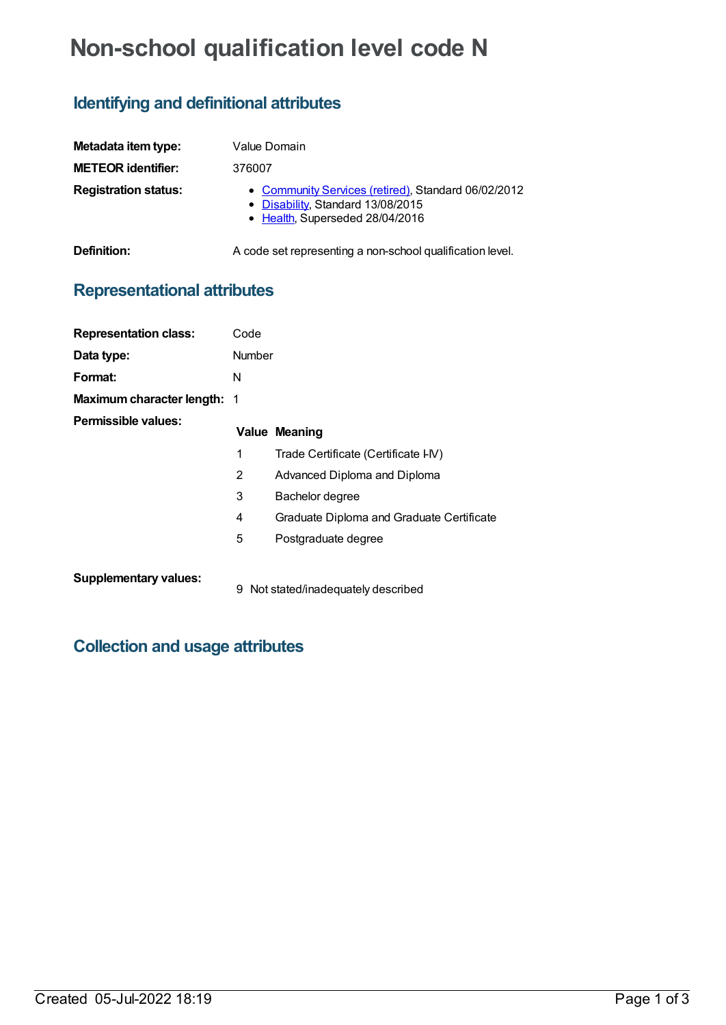# **Non-school qualification level code N**

## **Identifying and definitional attributes**

| Metadata item type:         | Value Domain                                                                                                                |
|-----------------------------|-----------------------------------------------------------------------------------------------------------------------------|
| <b>METEOR identifier:</b>   | 376007                                                                                                                      |
| <b>Registration status:</b> | • Community Services (retired), Standard 06/02/2012<br>• Disability, Standard 13/08/2015<br>• Health, Superseded 28/04/2016 |
| Definition:                 | A code set representing a non-school qualification level.                                                                   |

## **Representational attributes**

| <b>Representation class:</b>       | Code          |                                           |
|------------------------------------|---------------|-------------------------------------------|
| Data type:                         | <b>Number</b> |                                           |
| Format:                            | N             |                                           |
| <b>Maximum character length: 1</b> |               |                                           |
| Permissible values:                |               | <b>Value Meaning</b>                      |
|                                    | 1             | Trade Certificate (Certificate I-IV)      |
|                                    | 2             | Advanced Diploma and Diploma              |
|                                    | 3             | Bachelor degree                           |
|                                    | 4             | Graduate Diploma and Graduate Certificate |
|                                    | 5             | Postgraduate degree                       |
| <b>Supplementary values:</b>       | 9             | Not stated/inadequately described         |

#### **Collection and usage attributes**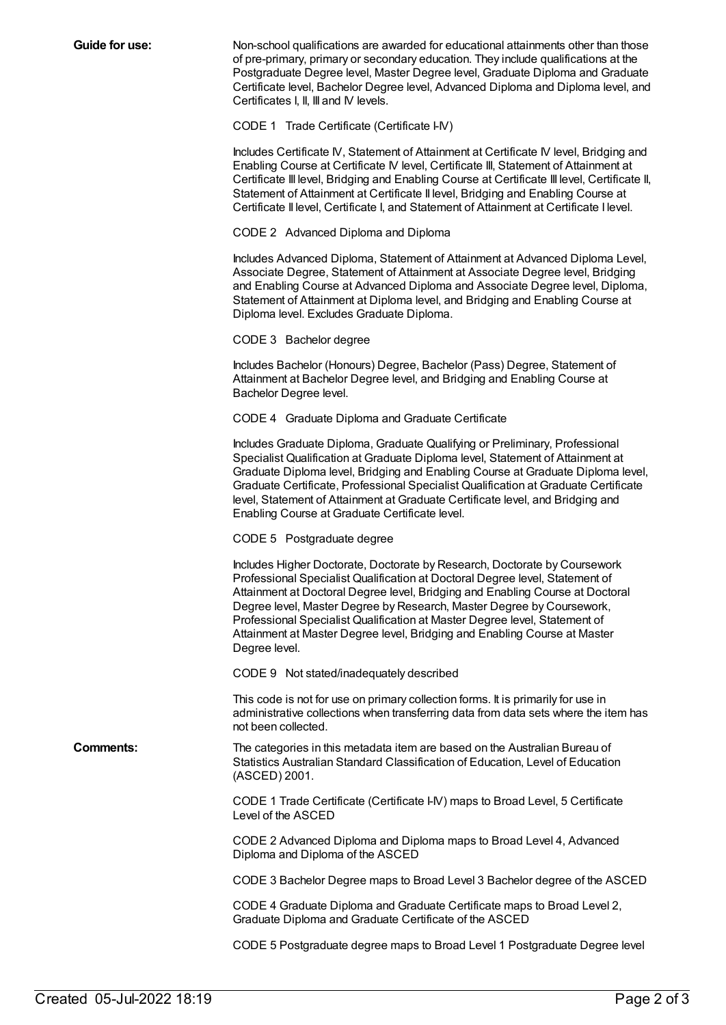**Guide for use:** Non-school qualifications are awarded for educational attainments other than those of pre-primary, primary or secondary education. They include qualifications at the Postgraduate Degree level, Master Degree level, Graduate Diploma and Graduate Certificate level, Bachelor Degree level, Advanced Diploma and Diploma level, and Certificates I, II, III and IV levels.

CODE 1 Trade Certificate (Certificate I-IV)

Includes Certificate IV, Statement of Attainment at Certificate IV level, Bridging and Enabling Course at Certificate IV level, Certificate III, Statement of Attainment at Certificate III level, Bridging and Enabling Course at Certificate III level, Certificate II, Statement of Attainment at Certificate II level, Bridging and Enabling Course at Certificate II level, Certificate I, and Statement of Attainment at Certificate I level.

CODE 2 Advanced Diploma and Diploma

Includes Advanced Diploma, Statement of Attainment at Advanced Diploma Level, Associate Degree, Statement of Attainment at Associate Degree level, Bridging and Enabling Course at Advanced Diploma and Associate Degree level, Diploma, Statement of Attainment at Diploma level, and Bridging and Enabling Course at Diploma level. Excludes Graduate Diploma.

CODE 3 Bachelor degree

Includes Bachelor (Honours) Degree, Bachelor (Pass) Degree, Statement of Attainment at Bachelor Degree level, and Bridging and Enabling Course at Bachelor Degree level.

CODE 4 Graduate Diploma and Graduate Certificate

Includes Graduate Diploma, Graduate Qualifying or Preliminary, Professional Specialist Qualification at Graduate Diploma level, Statement of Attainment at Graduate Diploma level, Bridging and Enabling Course at Graduate Diploma level, Graduate Certificate, Professional Specialist Qualification at Graduate Certificate level, Statement of Attainment at Graduate Certificate level, and Bridging and Enabling Course at Graduate Certificate level.

CODE 5 Postgraduate degree

Includes Higher Doctorate, Doctorate by Research, Doctorate by Coursework Professional Specialist Qualification at Doctoral Degree level, Statement of Attainment at Doctoral Degree level, Bridging and Enabling Course at Doctoral Degree level, Master Degree by Research, Master Degree by Coursework, Professional Specialist Qualification at Master Degree level, Statement of Attainment at Master Degree level, Bridging and Enabling Course at Master Degree level.

CODE 9 Not stated/inadequately described

This code is not for use on primary collection forms. It is primarily for use in administrative collections when transferring data from data sets where the item has not been collected.

**Comments:** The categories in this metadata item are based on the Australian Bureau of Statistics Australian Standard Classification of Education, Level of Education (ASCED) 2001.

> CODE 1 Trade Certificate (Certificate I-IV) maps to Broad Level, 5 Certificate Level of the ASCED

CODE 2 Advanced Diploma and Diploma maps to Broad Level 4, Advanced Diploma and Diploma of the ASCED

CODE 3 Bachelor Degree maps to Broad Level 3 Bachelor degree of the ASCED

CODE 4 Graduate Diploma and Graduate Certificate maps to Broad Level 2, Graduate Diploma and Graduate Certificate of the ASCED

CODE 5 Postgraduate degree maps to Broad Level 1 Postgraduate Degree level